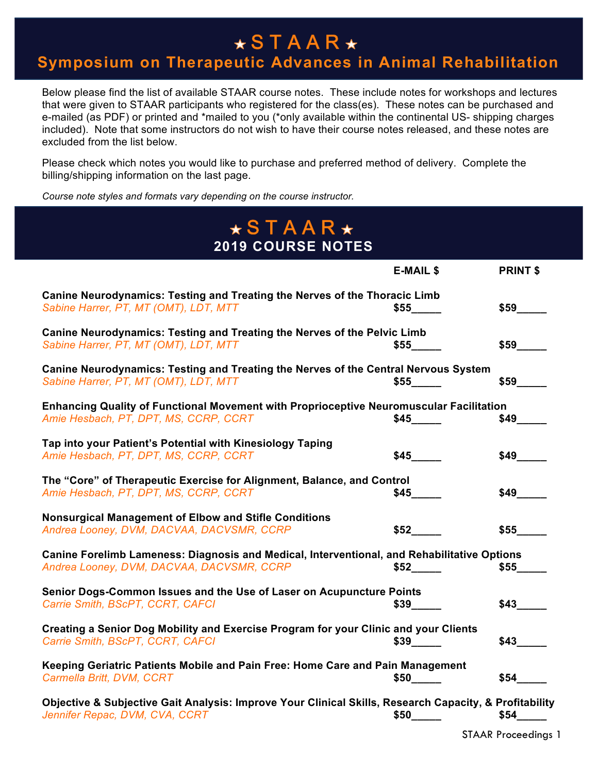#### $\star$ STAAR $\star$

#### **Symposium on Therapeutic Advances in Animal Rehabilitation**

Below please find the list of available STAAR course notes. These include notes for workshops and lectures that were given to STAAR participants who registered for the class(es). These notes can be purchased and e-mailed (as PDF) or printed and \*mailed to you (\*only available within the continental US- shipping charges included). Note that some instructors do not wish to have their course notes released, and these notes are excluded from the list below.

Please check which notes you would like to purchase and preferred method of delivery. Complete the billing/shipping information on the last page.

*Course note styles and formats vary depending on the course instructor.*

| $\star$ STAAR $\star$<br><b>2019 COURSE NOTES</b>                                                                                        |                            |                 |
|------------------------------------------------------------------------------------------------------------------------------------------|----------------------------|-----------------|
|                                                                                                                                          | <b>E-MAIL \$</b>           | <b>PRINT \$</b> |
| Canine Neurodynamics: Testing and Treating the Nerves of the Thoracic Limb<br>Sabine Harrer, PT, MT (OMT), LDT, MTT                      | \$55                       | \$59            |
| Canine Neurodynamics: Testing and Treating the Nerves of the Pelvic Limb<br>Sabine Harrer, PT, MT (OMT), LDT, MTT                        | \$55                       | \$59            |
| Canine Neurodynamics: Testing and Treating the Nerves of the Central Nervous System<br>Sabine Harrer, PT, MT (OMT), LDT, MTT             | \$55                       | \$59            |
| Enhancing Quality of Functional Movement with Proprioceptive Neuromuscular Facilitation<br>Amie Hesbach, PT, DPT, MS, CCRP, CCRT         | \$45                       |                 |
| Tap into your Patient's Potential with Kinesiology Taping<br>Amie Hesbach, PT, DPT, MS, CCRP, CCRT                                       | \$45                       | \$49            |
| The "Core" of Therapeutic Exercise for Alignment, Balance, and Control<br>Amie Hesbach, PT, DPT, MS, CCRP, CCRT                          | \$45                       |                 |
| <b>Nonsurgical Management of Elbow and Stifle Conditions</b><br>Andrea Looney, DVM, DACVAA, DACVSMR, CCRP                                | \$52                       | \$55            |
| Canine Forelimb Lameness: Diagnosis and Medical, Interventional, and Rehabilitative Options<br>Andrea Looney, DVM, DACVAA, DACVSMR, CCRP | \$52                       | \$55            |
| Senior Dogs-Common Issues and the Use of Laser on Acupuncture Points<br>Carrie Smith, BScPT, CCRT, CAFCI                                 | $$39$ <sub>_________</sub> | \$43            |
| Creating a Senior Dog Mobility and Exercise Program for your Clinic and your Clients<br>Carrie Smith, BScPT, CCRT, CAFCI                 | $$39$ <sub>______</sub>    | \$43            |
| Keeping Geriatric Patients Mobile and Pain Free: Home Care and Pain Management<br>Carmella Britt, DVM, CCRT                              | \$50                       | \$54            |
| Objective & Subjective Gait Analysis: Improve Your Clinical Skills, Research Capacity, & Profitability<br>Jennifer Repac, DVM, CVA, CCRT | \$50                       | \$54            |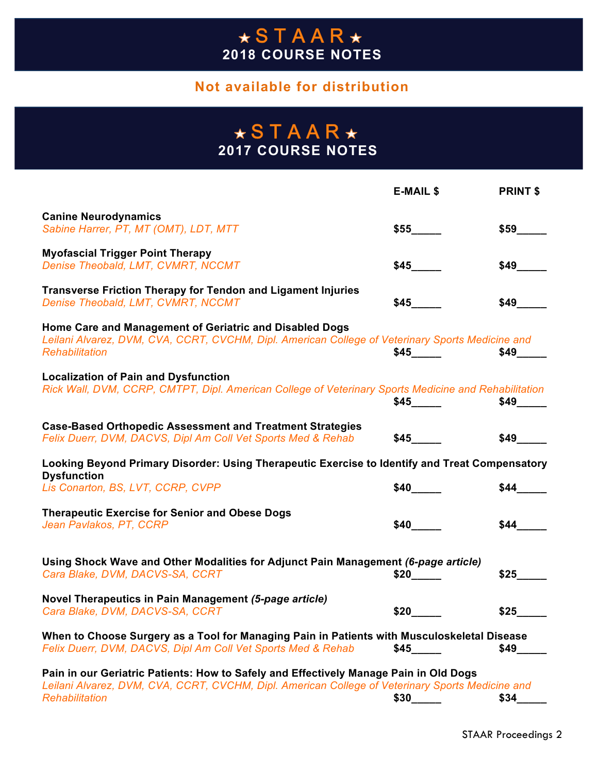#### **Not available for distribution**

#### **2017 COURSE NOTES**

|                                                                                                                                                                                                             | <b>E-MAIL \$</b> | <b>PRINT \$</b>           |
|-------------------------------------------------------------------------------------------------------------------------------------------------------------------------------------------------------------|------------------|---------------------------|
| <b>Canine Neurodynamics</b><br>Sabine Harrer, PT, MT (OMT), LDT, MTT                                                                                                                                        | \$55             | \$59                      |
| <b>Myofascial Trigger Point Therapy</b><br>Denise Theobald, LMT, CVMRT, NCCMT                                                                                                                               | \$45             | \$49                      |
| <b>Transverse Friction Therapy for Tendon and Ligament Injuries</b><br>Denise Theobald, LMT, CVMRT, NCCMT                                                                                                   | \$45             | \$49                      |
| Home Care and Management of Geriatric and Disabled Dogs<br>Leilani Alvarez, DVM, CVA, CCRT, CVCHM, Dipl. American College of Veterinary Sports Medicine and<br>Rehabilitation                               | \$45             | \$49                      |
| <b>Localization of Pain and Dysfunction</b><br>Rick Wall, DVM, CCRP, CMTPT, Dipl. American College of Veterinary Sports Medicine and Rehabilitation                                                         | \$45             | $$49$ <sub>________</sub> |
| <b>Case-Based Orthopedic Assessment and Treatment Strategies</b><br>Felix Duerr, DVM, DACVS, Dipl Am Coll Vet Sports Med & Rehab                                                                            | \$45             | \$49                      |
| Looking Beyond Primary Disorder: Using Therapeutic Exercise to Identify and Treat Compensatory                                                                                                              |                  |                           |
| <b>Dysfunction</b><br>Lis Conarton, BS, LVT, CCRP, CVPP                                                                                                                                                     | \$40             | \$44                      |
| <b>Therapeutic Exercise for Senior and Obese Dogs</b><br>Jean Pavlakos, PT, CCRP                                                                                                                            | \$40             | \$44                      |
| Using Shock Wave and Other Modalities for Adjunct Pain Management (6-page article)<br>Cara Blake, DVM, DACVS-SA, CCRT                                                                                       | \$20             | \$25                      |
| Novel Therapeutics in Pain Management (5-page article)<br>Cara Blake, DVM, DACVS-SA, CCRT                                                                                                                   | \$20             | \$25                      |
| When to Choose Surgery as a Tool for Managing Pain in Patients with Musculoskeletal Disease<br>Felix Duerr, DVM, DACVS, Dipl Am Coll Vet Sports Med & Rehab                                                 | \$45             | \$49                      |
| Pain in our Geriatric Patients: How to Safely and Effectively Manage Pain in Old Dogs<br>Leilani Alvarez, DVM, CVA, CCRT, CVCHM, Dipl. American College of Veterinary Sports Medicine and<br>Rehabilitation | \$30             | \$34                      |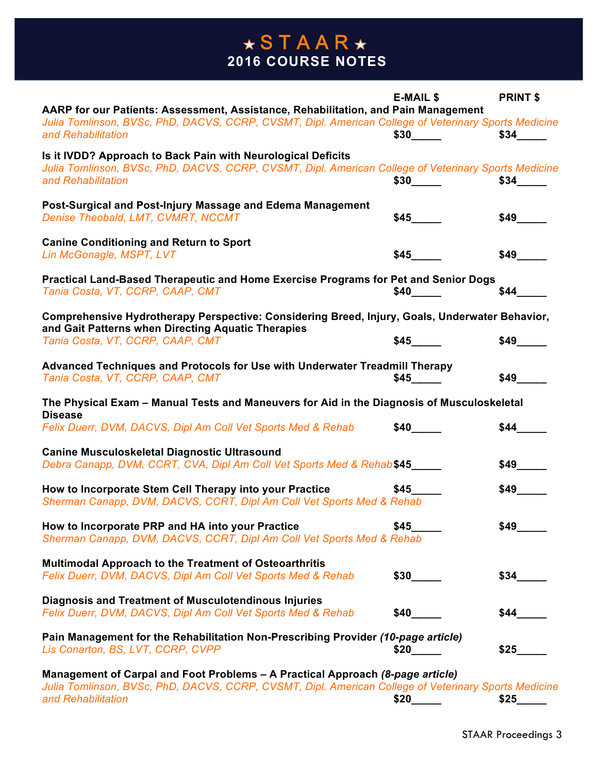|                                                                                                      | <b>E-MAIL \$</b> | <b>PRINT \$</b> |
|------------------------------------------------------------------------------------------------------|------------------|-----------------|
| AARP for our Patients: Assessment, Assistance, Rehabilitation, and Pain Management                   |                  |                 |
| Julia Tomlinson, BVSc, PhD, DACVS, CCRP, CVSMT, Dipl. American College of Veterinary Sports Medicine |                  |                 |
| and Rehabilitation                                                                                   | \$30             | \$34            |
|                                                                                                      |                  |                 |
| Is it IVDD? Approach to Back Pain with Neurological Deficits                                         |                  |                 |
| Julia Tomlinson, BVSc, PhD, DACVS, CCRP, CVSMT, Dipl. American College of Veterinary Sports Medicine |                  |                 |
| and Rehabilitation                                                                                   |                  | \$34            |
|                                                                                                      |                  |                 |
| Post-Surgical and Post-Injury Massage and Edema Management                                           |                  |                 |
| Denise Theobald, LMT, CVMRT, NCCMT                                                                   | \$45             |                 |
|                                                                                                      |                  |                 |
| <b>Canine Conditioning and Return to Sport</b>                                                       |                  |                 |
| Lin McGonagle, MSPT, LVT                                                                             | \$45             | \$49            |
|                                                                                                      |                  |                 |
| Practical Land-Based Therapeutic and Home Exercise Programs for Pet and Senior Dogs                  |                  |                 |
| Tania Costa, VT, CCRP, CAAP, CMT                                                                     |                  | \$44            |
|                                                                                                      |                  |                 |
| Comprehensive Hydrotherapy Perspective: Considering Breed, Injury, Goals, Underwater Behavior,       |                  |                 |
| and Gait Patterns when Directing Aquatic Therapies                                                   |                  |                 |
| Tania Costa, VT, CCRP, CAAP, CMT                                                                     | \$45             | \$49            |
|                                                                                                      |                  |                 |
| Advanced Techniques and Protocols for Use with Underwater Treadmill Therapy                          |                  |                 |
| Tania Costa, VT, CCRP, CAAP, CMT                                                                     | \$45             | \$49            |
|                                                                                                      |                  |                 |
| The Physical Exam - Manual Tests and Maneuvers for Aid in the Diagnosis of Musculoskeletal           |                  |                 |
| <b>Disease</b>                                                                                       |                  |                 |
| Felix Duerr, DVM, DACVS, Dipl Am Coll Vet Sports Med & Rehab                                         | \$40             | \$44            |
|                                                                                                      |                  |                 |
| <b>Canine Musculoskeletal Diagnostic Ultrasound</b>                                                  |                  |                 |
| Debra Canapp, DVM, CCRT, CVA, Dipl Am Coll Vet Sports Med & Rehab\$45                                |                  |                 |
|                                                                                                      |                  |                 |
| How to Incorporate Stem Cell Therapy into your Practice                                              | \$45             | \$49            |
| Sherman Canapp, DVM, DACVS, CCRT, Dipl Am Coll Vet Sports Med & Rehab                                |                  |                 |
|                                                                                                      |                  |                 |
| How to Incorporate PRP and HA into your Practice                                                     | \$45             | \$49            |
| Sherman Canapp, DVM, DACVS, CCRT, Dipl Am Coll Vet Sports Med & Rehab                                |                  |                 |
|                                                                                                      |                  |                 |
| <b>Multimodal Approach to the Treatment of Osteoarthritis</b>                                        |                  |                 |
| Felix Duerr, DVM, DACVS, Dipl Am Coll Vet Sports Med & Rehab                                         | \$30             | \$34            |
|                                                                                                      |                  |                 |
| <b>Diagnosis and Treatment of Musculotendinous Injuries</b>                                          |                  |                 |
| Felix Duerr, DVM, DACVS, Dipl Am Coll Vet Sports Med & Rehab                                         | \$40             | \$44            |
|                                                                                                      |                  |                 |
| Pain Management for the Rehabilitation Non-Prescribing Provider (10-page article)                    |                  |                 |
| Lis Conarton, BS, LVT, CCRP, CVPP                                                                    | \$20             | \$25            |
|                                                                                                      |                  |                 |

**Management of Carpal and Foot Problems – A Practical Approach** *(8-page article) Julia Tomlinson, BVSc, PhD, DACVS, CCRP, CVSMT, Dipl. American College of Veterinary Sports Medicine and Rehabilitation* **\$20\_\_\_\_\_ \$25\_\_\_\_\_**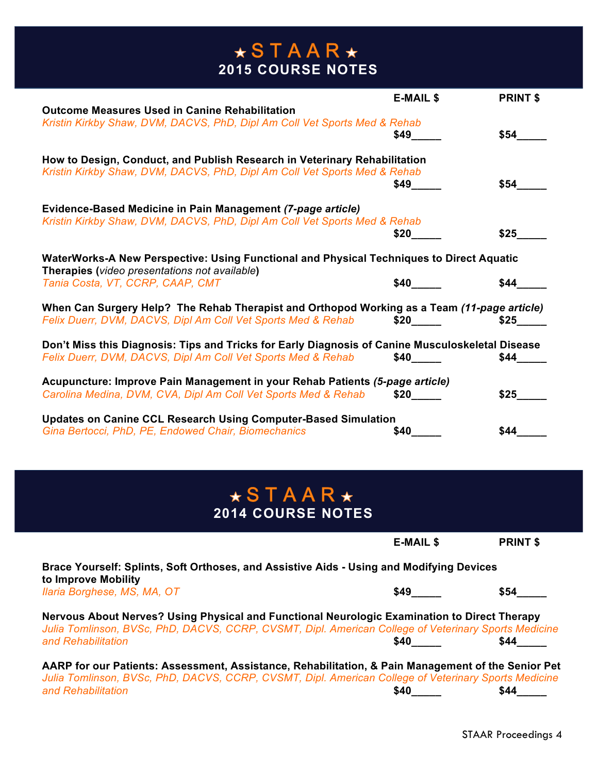|                                                                                                                                           | <b>E-MAIL \$</b>          | <b>PRINT \$</b> |
|-------------------------------------------------------------------------------------------------------------------------------------------|---------------------------|-----------------|
| <b>Outcome Measures Used in Canine Rehabilitation</b>                                                                                     |                           |                 |
| Kristin Kirkby Shaw, DVM, DACVS, PhD, Dipl Am Coll Vet Sports Med & Rehab                                                                 |                           |                 |
|                                                                                                                                           | \$49                      | \$54            |
| How to Design, Conduct, and Publish Research in Veterinary Rehabilitation                                                                 |                           |                 |
| Kristin Kirkby Shaw, DVM, DACVS, PhD, Dipl Am Coll Vet Sports Med & Rehab                                                                 |                           |                 |
|                                                                                                                                           | \$49                      | \$54            |
| Evidence-Based Medicine in Pain Management (7-page article)                                                                               |                           |                 |
| Kristin Kirkby Shaw, DVM, DACVS, PhD, Dipl Am Coll Vet Sports Med & Rehab                                                                 |                           |                 |
|                                                                                                                                           | \$20                      | \$25            |
| WaterWorks-A New Perspective: Using Functional and Physical Techniques to Direct Aquatic<br>Therapies (video presentations not available) |                           |                 |
| Tania Costa, VT, CCRP, CAAP, CMT                                                                                                          | \$40                      | \$44            |
| When Can Surgery Help? The Rehab Therapist and Orthopod Working as a Team (11-page article)                                               |                           |                 |
| Felix Duerr, DVM, DACVS, Dipl Am Coll Vet Sports Med & Rehab                                                                              |                           |                 |
| Don't Miss this Diagnosis: Tips and Tricks for Early Diagnosis of Canine Musculoskeletal Disease                                          |                           |                 |
| Felix Duerr, DVM, DACVS, Dipl Am Coll Vet Sports Med & Rehab                                                                              | $$40$ <sub>_______</sub>  | \$44            |
| Acupuncture: Improve Pain Management in your Rehab Patients (5-page article)                                                              |                           |                 |
| Carolina Medina, DVM, CVA, Dipl Am Coll Vet Sports Med & Rehab                                                                            | $$20$ <sub>________</sub> | \$25            |
| <b>Updates on Canine CCL Research Using Computer-Based Simulation</b>                                                                     |                           |                 |
| Gina Bertocci, PhD, PE, Endowed Chair, Biomechanics                                                                                       | \$40                      | \$44            |

## **2014 COURSE NOTES**

|                                                                                                                                                                                                                            | <b>E-MAIL \$</b> | <b>PRINT \$</b> |
|----------------------------------------------------------------------------------------------------------------------------------------------------------------------------------------------------------------------------|------------------|-----------------|
| Brace Yourself: Splints, Soft Orthoses, and Assistive Aids - Using and Modifying Devices<br>to Improve Mobility                                                                                                            |                  |                 |
| Ilaria Borghese, MS, MA, OT                                                                                                                                                                                                | <b>S49</b>       | \$54            |
| Nervous About Nerves? Using Physical and Functional Neurologic Examination to Direct Therapy<br>Julia Tomlinson, BVSc, PhD, DACVS, CCRP, CVSMT, Dipl. American College of Veterinary Sports Medicine<br>and Rehabilitation | <b>S40</b>       | \$44            |
| AARP for our Patients: Assessment, Assistance, Rehabilitation, & Pain Management of the Senior Pet                                                                                                                         |                  |                 |

*Julia Tomlinson, BVSc, PhD, DACVS, CCRP, CVSMT, Dipl. American College of Veterinary Sports Medicine and Rehabilitation* **\$40\_\_\_\_\_ \$44\_\_\_\_\_**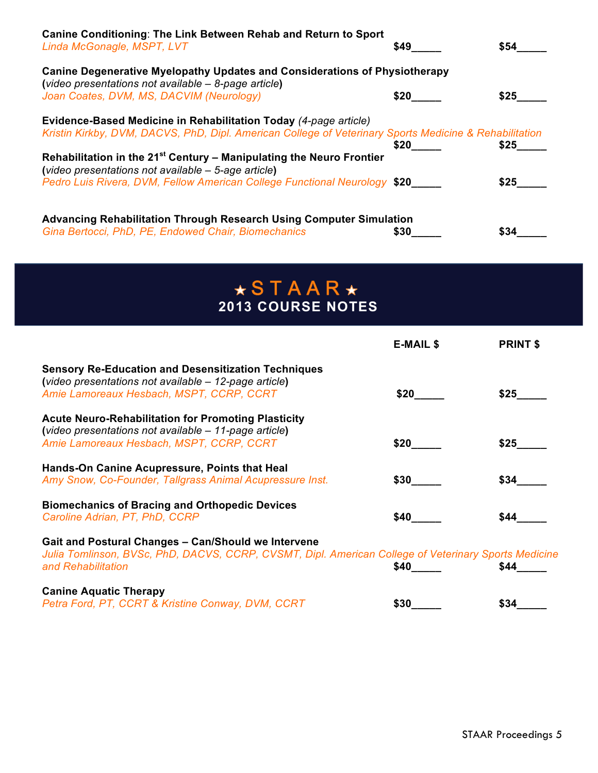| <b>Canine Conditioning: The Link Between Rehab and Return to Sport</b><br>Linda McGonagle, MSPT, LVT                                                                       | \$49 | \$54 |
|----------------------------------------------------------------------------------------------------------------------------------------------------------------------------|------|------|
| <b>Canine Degenerative Myelopathy Updates and Considerations of Physiotherapy</b><br>(video presentations not available $-$ 8-page article)                                |      |      |
| Joan Coates, DVM, MS, DACVIM (Neurology)                                                                                                                                   | \$20 | \$25 |
| Evidence-Based Medicine in Rehabilitation Today (4-page article)<br>Kristin Kirkby, DVM, DACVS, PhD, Dipl. American College of Veterinary Sports Medicine & Rehabilitation | \$20 | \$25 |
| Rehabilitation in the 21 <sup>st</sup> Century - Manipulating the Neuro Frontier<br>(video presentations not available - 5-age article)                                    |      |      |
| Pedro Luis Rivera, DVM, Fellow American College Functional Neurology \$20                                                                                                  |      | \$25 |
| <b>Advancing Rehabilitation Through Research Using Computer Simulation</b>                                                                                                 |      |      |
| Gina Bertocci, PhD, PE, Endowed Chair, Biomechanics                                                                                                                        | \$30 | \$34 |

|                                                                                                                                                                                   | <b>E-MAIL \$</b> | <b>PRINT \$</b> |
|-----------------------------------------------------------------------------------------------------------------------------------------------------------------------------------|------------------|-----------------|
| <b>Sensory Re-Education and Desensitization Techniques</b><br>(video presentations not available - 12-page article)<br>Amie Lamoreaux Hesbach, MSPT, CCRP, CCRT                   | \$20             | \$25            |
| <b>Acute Neuro-Rehabilitation for Promoting Plasticity</b><br>(video presentations not available - 11-page article)<br>Amie Lamoreaux Hesbach, MSPT, CCRP, CCRT                   | \$20             | \$25            |
| Hands-On Canine Acupressure, Points that Heal<br>Amy Snow, Co-Founder, Tallgrass Animal Acupressure Inst.                                                                         | \$30             | \$34            |
| <b>Biomechanics of Bracing and Orthopedic Devices</b><br>Caroline Adrian, PT, PhD, CCRP                                                                                           | \$40             | \$44            |
| Gait and Postural Changes - Can/Should we Intervene<br>Julia Tomlinson, BVSc, PhD, DACVS, CCRP, CVSMT, Dipl. American College of Veterinary Sports Medicine<br>and Rehabilitation | <b>\$40</b>      | \$44            |
| <b>Canine Aquatic Therapy</b><br>Petra Ford, PT, CCRT & Kristine Conway, DVM, CCRT                                                                                                | \$30             | \$34            |